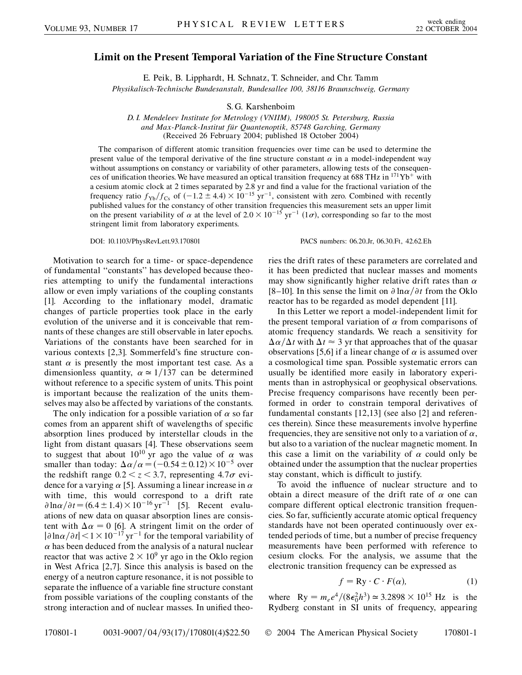## **Limit on the Present Temporal Variation of the Fine Structure Constant**

E. Peik, B. Lipphardt, H. Schnatz, T. Schneider, and Chr. Tamm

*Physikalisch-Technische Bundesanstalt, Bundesallee 100, 38116 Braunschweig, Germany*

S. G. Karshenboim

*D. I. Mendeleev Institute for Metrology (VNIIM), 198005 St. Petersburg, Russia and Max-Planck-Institut fu¨r Quantenoptik, 85748 Garching, Germany* (Received 26 February 2004; published 18 October 2004)

The comparison of different atomic transition frequencies over time can be used to determine the present value of the temporal derivative of the fine structure constant  $\alpha$  in a model-independent way without assumptions on constancy or variability of other parameters, allowing tests of the consequences of unification theories. We have measured an optical transition frequency at 688 THz in  $171Yb^+$  with a cesium atomic clock at 2 times separated by 2.8 yr and find a value for the fractional variation of the frequency ratio  $f_{Yb}/f_{Cs}$  of  $(-1.2 \pm 4.4) \times 10^{-15}$  yr<sup>-1</sup>, consistent with zero. Combined with recently published values for the constancy of other transition frequencies this measurement sets an upper limit on the present variability of  $\alpha$  at the level of  $2.0 \times 10^{-15}$  yr<sup>-1</sup> (1 $\sigma$ ), corresponding so far to the most stringent limit from laboratory experiments.

DOI: 10.1103/PhysRevLett.93.170801 PACS numbers: 06.20.Jr, 06.30.Ft, 42.62.Eh

Motivation to search for a time- or space-dependence of fundamental ''constants'' has developed because theories attempting to unify the fundamental interactions allow or even imply variations of the coupling constants [1]. According to the inflationary model, dramatic changes of particle properties took place in the early evolution of the universe and it is conceivable that remnants of these changes are still observable in later epochs. Variations of the constants have been searched for in various contexts [2,3]. Sommerfeld's fine structure constant  $\alpha$  is presently the most important test case. As a dimensionless quantity,  $\alpha \approx 1/137$  can be determined without reference to a specific system of units. This point is important because the realization of the units themselves may also be affected by variations of the constants.

The only indication for a possible variation of  $\alpha$  so far comes from an apparent shift of wavelengths of specific absorption lines produced by interstellar clouds in the light from distant quasars [4]. These observations seem to suggest that about  $10^{10}$  yr ago the value of  $\alpha$  was smaller than today:  $\Delta \alpha / \alpha = (-0.54 \pm 0.12) \times 10^{-5}$  over the redshift range  $0.2 < z < 3.7$ , representing  $4.7\sigma$  evidence for a varying  $\alpha$  [5]. Assuming a linear increase in  $\alpha$ with time, this would correspond to a drift rate  $\partial \ln \alpha / \partial t = (6.4 \pm 1.4) \times 10^{-16} \,\text{yr}^{-1}$  [5]. Recent evaluations of new data on quasar absorption lines are consistent with  $\Delta \alpha = 0$  [6]. A stringent limit on the order of  $|\partial \ln \alpha / \partial t|$  < 1 × 10<sup>-17</sup> yr<sup>-1</sup> for the temporal variability of  $\alpha$  has been deduced from the analysis of a natural nuclear reactor that was active  $2 \times 10^9$  yr ago in the Oklo region in West Africa [2,7]. Since this analysis is based on the energy of a neutron capture resonance, it is not possible to separate the influence of a variable fine structure constant from possible variations of the coupling constants of the strong interaction and of nuclear masses. In unified theories the drift rates of these parameters are correlated and it has been predicted that nuclear masses and moments may show significantly higher relative drift rates than  $\alpha$ [8–10]. In this sense the limit on  $\partial \ln \alpha / \partial t$  from the Oklo reactor has to be regarded as model dependent [11].

In this Letter we report a model-independent limit for the present temporal variation of  $\alpha$  from comparisons of atomic frequency standards. We reach a sensitivity for  $\frac{\Delta \alpha}{\Delta t}$  with  $\Delta t \approx 3$  yr that approaches that of the quasar observations [5,6] if a linear change of  $\alpha$  is assumed over a cosmological time span. Possible systematic errors can usually be identified more easily in laboratory experiments than in astrophysical or geophysical observations. Precise frequency comparisons have recently been performed in order to constrain temporal derivatives of fundamental constants [12,13] (see also [2] and references therein). Since these measurements involve hyperfine frequencies, they are sensitive not only to a variation of  $\alpha$ , but also to a variation of the nuclear magnetic moment. In this case a limit on the variability of  $\alpha$  could only be obtained under the assumption that the nuclear properties stay constant, which is difficult to justify.

To avoid the influence of nuclear structure and to obtain a direct measure of the drift rate of  $\alpha$  one can compare different optical electronic transition frequencies. So far, sufficiently accurate atomic optical frequency standards have not been operated continuously over extended periods of time, but a number of precise frequency measurements have been performed with reference to cesium clocks. For the analysis, we assume that the electronic transition frequency can be expressed as

$$
f = Ry \cdot C \cdot F(\alpha), \tag{1}
$$

where  $Ry = m_e e^4 / (8\epsilon_0^2 h^3) \approx 3.2898 \times 10^{15} \text{ Hz}$  is the Rydberg constant in SI units of frequency, appearing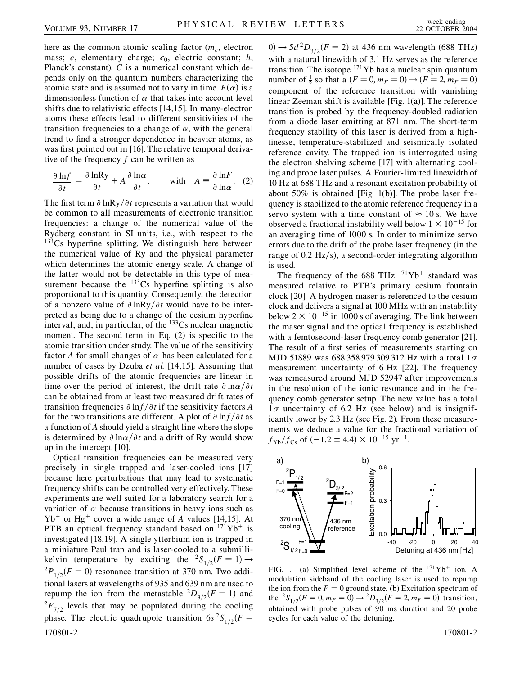here as the common atomic scaling factor  $(m_e,$  electron mass; *e*, elementary charge;  $\epsilon_0$ , electric constant; *h*, Planck's constant). *C* is a numerical constant which depends only on the quantum numbers characterizing the atomic state and is assumed not to vary in time.  $F(\alpha)$  is a dimensionless function of  $\alpha$  that takes into account level shifts due to relativistic effects [14,15]. In many-electron atoms these effects lead to different sensitivities of the transition frequencies to a change of  $\alpha$ , with the general trend to find a stronger dependence in heavier atoms, as was first pointed out in [16]. The relative temporal derivative of the frequency *f* can be written as

$$
\frac{\partial \ln f}{\partial t} = \frac{\partial \ln Ry}{\partial t} + A \frac{\partial \ln \alpha}{\partial t}, \quad \text{with} \quad A = \frac{\partial \ln F}{\partial \ln \alpha}. \quad (2)
$$

The first term  $\partial \ln R y / \partial t$  represents a variation that would be common to all measurements of electronic transition frequencies: a change of the numerical value of the Rydberg constant in SI units, i.e., with respect to the  $133Cs$  hyperfine splitting. We distinguish here between the numerical value of Ry and the physical parameter which determines the atomic energy scale. A change of the latter would not be detectable in this type of measurement because the  $^{133}Cs$  hyperfine splitting is also proportional to this quantity. Consequently, the detection of a nonzero value of  $\partial \ln{Ry}/\partial t$  would have to be interpreted as being due to a change of the cesium hyperfine interval, and, in particular, of the  $133Cs$  nuclear magnetic moment. The second term in Eq. (2) is specific to the atomic transition under study. The value of the sensitivity factor *A* for small changes of  $\alpha$  has been calculated for a number of cases by Dzuba *et al.* [14,15]. Assuming that possible drifts of the atomic frequencies are linear in time over the period of interest, the drift rate  $\partial \ln \alpha / \partial t$ can be obtained from at least two measured drift rates of transition frequencies  $\partial \ln f / \partial t$  if the sensitivity factors *A* for the two transitions are different. A plot of  $\partial \ln f / \partial t$  as a function of *A* should yield a straight line where the slope is determined by  $\partial \ln \alpha / \partial t$  and a drift of Ry would show up in the intercept [10].

Optical transition frequencies can be measured very precisely in single trapped and laser-cooled ions [17] because here perturbations that may lead to systematic frequency shifts can be controlled very effectively. These experiments are well suited for a laboratory search for a variation of  $\alpha$  because transitions in heavy ions such as  $Yb^+$  or Hg<sup>+</sup> cover a wide range of *A* values [14,15]. At PTB an optical frequency standard based on  $171Yb^+$  is investigated [18,19]. A single ytterbium ion is trapped in a miniature Paul trap and is laser-cooled to a submillikelvin temperature by exciting the  ${}^{2}S_{1/2}(F = 1) \rightarrow$  ${}^{2}P_{1/2}(F=0)$  resonance transition at 370 nm. Two additional lasers at wavelengths of 935 and 639 nm are used to repump the ion from the metastable  ${}^{2}D_{3/2}(F = 1)$  and  ${}^{2}F_{7/2}$  levels that may be populated during the cooling phase. The electric quadrupole transition  $6s^2S_{1/2}(F =$ 170801-2 170801-2

 $(0) \rightarrow 5d^2D_{3/2}(F = 2)$  at 436 nm wavelength (688 THz) with a natural linewidth of 3.1 Hz serves as the reference transition. The isotope  $171$ Yb has a nuclear spin quantum number of  $\frac{1}{2}$  so that a  $(F = 0, m_F = 0) \rightarrow (F = 2, m_F = 0)$ component of the reference transition with vanishing linear Zeeman shift is available [Fig. 1(a)]. The reference transition is probed by the frequency-doubled radiation from a diode laser emitting at 871 nm. The short-term frequency stability of this laser is derived from a highfinesse, temperature-stabilized and seismically isolated reference cavity. The trapped ion is interrogated using the electron shelving scheme [17] with alternating cooling and probe laser pulses. A Fourier-limited linewidth of 10 Hz at 688 THz and a resonant excitation probability of about 50% is obtained [Fig. 1(b)]. The probe laser frequency is stabilized to the atomic reference frequency in a servo system with a time constant of  $\approx 10$  s. We have observed a fractional instability well below  $1 \times 10^{-15}$  for an averaging time of 1000 s. In order to minimize servo errors due to the drift of the probe laser frequency (in the range of 0.2 Hz/s), a second-order integrating algorithm is used.

The frequency of the 688 THz  $171\text{Yb}^+$  standard was measured relative to PTB's primary cesium fountain clock [20]. A hydrogen maser is referenced to the cesium clock and delivers a signal at 100 MHz with an instability below  $2 \times 10^{-15}$  in 1000 s of averaging. The link between the maser signal and the optical frequency is established with a femtosecond-laser frequency comb generator [21]. The result of a first series of measurements starting on MJD 51889 was 688 358 979 309 312 Hz with a total  $1\sigma$ measurement uncertainty of 6 Hz [22]. The frequency was remeasured around MJD 52947 after improvements in the resolution of the ionic resonance and in the frequency comb generator setup. The new value has a total  $1\sigma$  uncertainty of 6.2 Hz (see below) and is insignificantly lower by 2.3 Hz (see Fig. 2). From these measurements we deduce a value for the fractional variation of  $f_{\text{Yb}}/f_{\text{Cs}}$  of  $(-1.2 \pm 4.4) \times 10^{-15}$  yr<sup>-1</sup>.



FIG. 1. (a) Simplified level scheme of the  $171\text{Yb}^+$  ion. A modulation sideband of the cooling laser is used to repump the ion from the  $F = 0$  ground state. (b) Excitation spectrum of the  ${}^{2}S_{1/2}(F = 0, m_F = 0) \rightarrow {}^{2}D_{3/2}(F = 2, m_F = 0)$  transition, obtained with probe pulses of 90 ms duration and 20 probe cycles for each value of the detuning.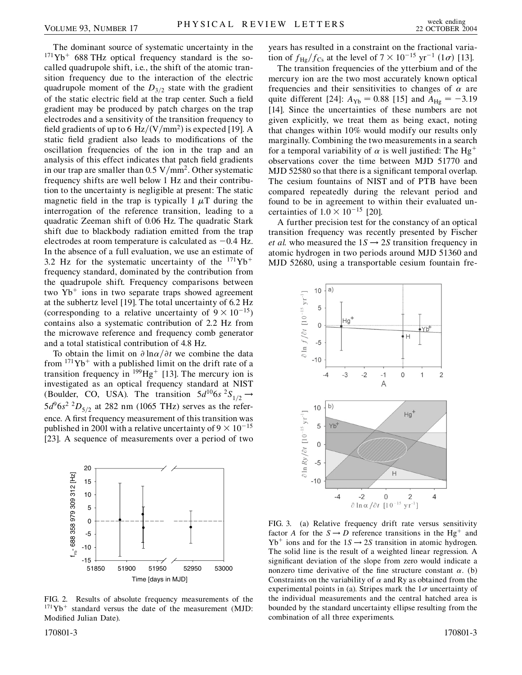The dominant source of systematic uncertainty in the  $171\text{Yb}$ <sup>+</sup> 688 THz optical frequency standard is the socalled quadrupole shift, i.e., the shift of the atomic transition frequency due to the interaction of the electric quadrupole moment of the  $D_{3/2}$  state with the gradient of the static electric field at the trap center. Such a field gradient may be produced by patch charges on the trap electrodes and a sensitivity of the transition frequency to field gradients of up to 6 Hz/(V/mm<sup>2</sup>) is expected [19]. A static field gradient also leads to modifications of the oscillation frequencies of the ion in the trap and an analysis of this effect indicates that patch field gradients in our trap are smaller than  $0.5 \text{ V/mm}^2$ . Other systematic frequency shifts are well below 1 Hz and their contribution to the uncertainty is negligible at present: The static magnetic field in the trap is typically 1  $\mu$ T during the interrogation of the reference transition, leading to a quadratic Zeeman shift of 0.06 Hz. The quadratic Stark shift due to blackbody radiation emitted from the trap electrodes at room temperature is calculated as  $-0.4$  Hz. In the absence of a full evaluation, we use an estimate of 3.2 Hz for the systematic uncertainty of the  $171\text{Yb}^+$ frequency standard, dominated by the contribution from the quadrupole shift. Frequency comparisons between two  $Yb^+$  ions in two separate traps showed agreement at the subhertz level [19]. The total uncertainty of 6.2 Hz (corresponding to a relative uncertainty of  $9 \times 10^{-15}$ ) contains also a systematic contribution of 2.2 Hz from the microwave reference and frequency comb generator and a total statistical contribution of 4.8 Hz.

To obtain the limit on  $\partial \ln \alpha / \partial t$  we combine the data from  $171\text{Yb}^+$  with a published limit on the drift rate of a transition frequency in  $^{199}Hg^+$  [13]. The mercury ion is investigated as an optical frequency standard at NIST (Boulder, CO, USA). The transition  $5d^{10}6s^{2}S_{1/2} \rightarrow$  $5d^96s^2$  <sup>2</sup> $D_{5/2}$  at 282 nm (1065 THz) serves as the reference. A first frequency measurement of this transition was published in 2001 with a relative uncertainty of  $9 \times 10^{-15}$ [23]. A sequence of measurements over a period of two



FIG. 2. Results of absolute frequency measurements of the  $171\text{Yb}^+$  standard versus the date of the measurement (MJD: Modified Julian Date).

years has resulted in a constraint on the fractional variation of  $f_{\text{Hg}}/f_{\text{Cs}}$  at the level of  $7 \times 10^{-15}$  yr<sup>-1</sup> (1 $\sigma$ ) [13].

The transition frequencies of the ytterbium and of the mercury ion are the two most accurately known optical frequencies and their sensitivities to changes of  $\alpha$  are quite different [24]:  $A_{Yb} = 0.88$  [15] and  $A_{Hg} = -3.19$ [14]. Since the uncertainties of these numbers are not given explicitly, we treat them as being exact, noting that changes within 10% would modify our results only marginally. Combining the two measurements in a search for a temporal variability of  $\alpha$  is well justified: The Hg<sup>+</sup> observations cover the time between MJD 51770 and MJD 52580 so that there is a significant temporal overlap. The cesium fountains of NIST and of PTB have been compared repeatedly during the relevant period and found to be in agreement to within their evaluated uncertainties of  $1.0 \times 10^{-15}$  [20].

A further precision test for the constancy of an optical transition frequency was recently presented by Fischer *et al.* who measured the  $1S \rightarrow 2S$  transition frequency in atomic hydrogen in two periods around MJD 51360 and MJD 52680, using a transportable cesium fountain fre-



FIG. 3. (a) Relative frequency drift rate versus sensitivity factor *A* for the  $S \rightarrow D$  reference transitions in the Hg<sup>+</sup> and  $Yb^+$  ions and for the  $1S \rightarrow 2S$  transition in atomic hydrogen. The solid line is the result of a weighted linear regression. A significant deviation of the slope from zero would indicate a nonzero time derivative of the fine structure constant  $\alpha$ . (b) Constraints on the variability of  $\alpha$  and Ry as obtained from the experimental points in (a). Stripes mark the  $1\sigma$  uncertainty of the individual measurements and the central hatched area is bounded by the standard uncertainty ellipse resulting from the combination of all three experiments.